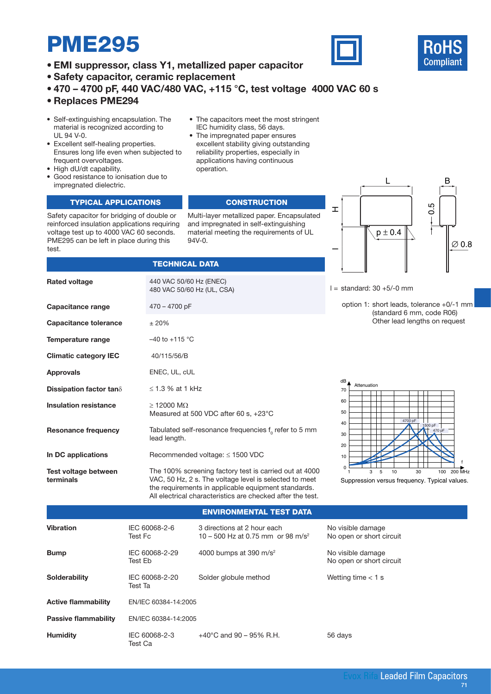# PME295

- **• EMI suppressor, class Y1, metallized paper capacitor**
- **Safety capacitor, ceramic replacement**
- **• 470 4700 pF, 440 VAC/480 VAC, +115 °C, test voltage 4000 VAC 60 s**

## **• Replaces PME294**

- Self-extinguishing encapsulation. The material is recognized according to UL 94 V-0.
- Excellent self-healing properties. Ensures long life even when subjected to frequent overvoltages.
- High dU/dt capability.

**Rated voltage**

**Capacitance range**

• Good resistance to ionisation due to impregnated dielectric.

### TYPICAL APPLICATIONS **CONSTRUCTION**

Safety capacitor for bridging of double or reinforced insulation applications requiring voltage test up to 4000 VAC 60 seconds. PME295 can be left in place during this test.

### • The capacitors meet the most stringent IEC humidity class, 56 days.

• The impregnated paper ensures excellent stability giving outstanding reliability properties, especially in applications having continuous operation.

Multi-layer metallized paper. Encapsulated and impregnated in self-extinguishing material meeting the requirements of UL 94V-0.



 $l =$  standard: 30 +5/-0 mm

option 1: short leads, tolerance +0/-1 mm (standard 6 mm, code R06) Other lead lengths on request

± 20%  $-40$  to  $+115$  °C 40/115/56/B ENEC, UL, cUL ≤ 1.3 % at 1 kHz  $\geq$  12000 M $\Omega$ Measured at 500 VDC after 60 s, +23°C Tabulated self-resonance frequencies  $\bm{{\mathsf f}}_{{}_0}$  refer to 5 mm lead length. Recommended voltage: ≤ 1500 VDC **Capacitance tolerance Temperature range Climatic category IEC Approvals Dissipation factor tan**δ **Insulation resistance Resonance frequency In DC applications**

**TECHNICAL DATA** 

440 VAC 50/60 Hz (ENEC) 480 VAC 50/60 Hz (UL, CSA)

470 – 4700 pF

The 100% screening factory test is carried out at 4000 **Test voltage between terminals**

VAC, 50 Hz, 2 s. The voltage level is selected to meet the requirements in applicable equipment standards. All electrical characteristics are checked after the test.



## Environmental test data

| <b>Vibration</b>            | IEC 60068-2-6<br>Test Fc  | 3 directions at 2 hour each<br>10 – 500 Hz at 0.75 mm or 98 m/s <sup>2</sup> | No visible damage<br>No open or short circuit |  |  |
|-----------------------------|---------------------------|------------------------------------------------------------------------------|-----------------------------------------------|--|--|
| <b>Bump</b>                 | IEC 60068-2-29<br>Test Eb | 4000 bumps at 390 m/s <sup>2</sup>                                           | No visible damage<br>No open or short circuit |  |  |
| <b>Solderability</b>        | IEC 60068-2-20<br>Test Ta | Solder globule method                                                        | Wetting time $<$ 1 s                          |  |  |
| <b>Active flammability</b>  | EN/IEC 60384-14:2005      |                                                                              |                                               |  |  |
| <b>Passive flammability</b> | EN/IEC 60384-14:2005      |                                                                              |                                               |  |  |
| <b>Humidity</b>             | IEC 60068-2-3<br>Test Ca  | $+40^{\circ}$ C and 90 – 95% R.H.                                            | 56 days                                       |  |  |